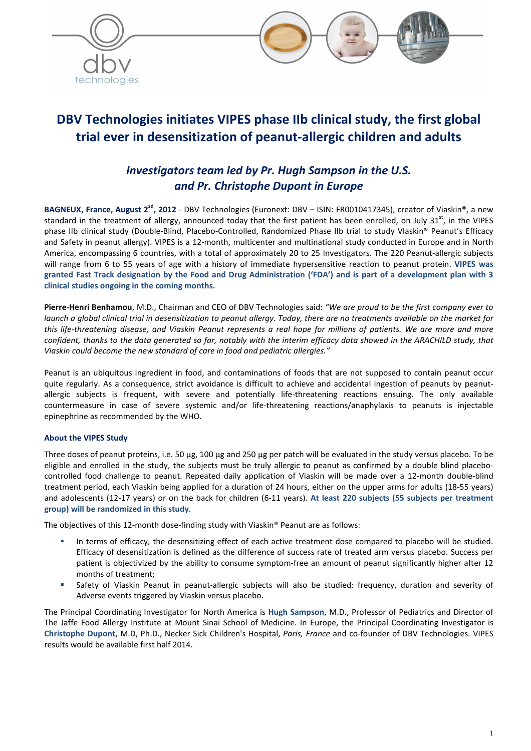

# **DBV Technologies initiates VIPES phase IIb clinical study, the first global trial ever in desensitization of peanut-allergic children and adults**

## *Investigators team led by Pr. Hugh Sampson in the U.S. and Pr. Christophe Dupont in Europe*

**BAGNEUX, France, August 2sd, 2012** - DBV Technologies (Euronext: DBV – ISIN: FR0010417345), creator of Viaskin®, a new standard in the treatment of allergy, announced today that the first patient has been enrolled, on July 31<sup>st</sup>, in the VIPES phase IIb clinical study (Double-Blind, Placebo-Controlled, Randomized Phase IIb trial to study VIaskin® Peanut's Efficacy and Safety in peanut allergy). VIPES is a 12-month, multicenter and multinational study conducted in Europe and in North America, encompassing 6 countries, with a total of approximately 20 to 25 Investigators. The 220 Peanut-allergic subjects will range from 6 to 55 years of age with a history of immediate hypersensitive reaction to peanut protein. **VIPES was granted Fast Track designation by the Food and Drug Administration ('FDA') and is part of a development plan with 3 clinical studies ongoing in the coming months.** 

**Pierre-Henri Benhamou**, M.D., Chairman and CEO of DBV Technologies said: *"We are proud to be the first company ever to launch a global clinical trial in desensitization to peanut allergy. Today, there are no treatments available on the market for this life-threatening disease, and Viaskin Peanut represents a real hope for millions of patients. We are more and more confident, thanks to the data generated so far, notably with the interim efficacy data showed in the ARACHILD study, that Viaskin could become the new standard of care in food and pediatric allergies."* 

Peanut is an ubiquitous ingredient in food, and contaminations of foods that are not supposed to contain peanut occur quite regularly. As a consequence, strict avoidance is difficult to achieve and accidental ingestion of peanuts by peanutallergic subjects is frequent, with severe and potentially life-threatening reactions ensuing. The only available countermeasure in case of severe systemic and/or life-threatening reactions/anaphylaxis to peanuts is injectable epinephrine as recommended by the WHO.

### **About the VIPES Study**

Three doses of peanut proteins, i.e. 50 µg, 100 µg and 250 µg per patch will be evaluated in the study versus placebo. To be eligible and enrolled in the study, the subjects must be truly allergic to peanut as confirmed by a double blind placebocontrolled food challenge to peanut. Repeated daily application of Viaskin will be made over a 12-month double-blind treatment period, each Viaskin being applied for a duration of 24 hours, either on the upper arms for adults (18-55 years) and adolescents (12-17 years) or on the back for children (6-11 years). **At least 220 subjects (55 subjects per treatment group) will be randomized in this study**.

The objectives of this 12-month dose-finding study with Viaskin® Peanut are as follows:

- In terms of efficacy, the desensitizing effect of each active treatment dose compared to placebo will be studied. Efficacy of desensitization is defined as the difference of success rate of treated arm versus placebo. Success per patient is objectivized by the ability to consume symptom-free an amount of peanut significantly higher after 12 months of treatment;
- Safety of Viaskin Peanut in peanut-allergic subjects will also be studied: frequency, duration and severity of Adverse events triggered by Viaskin versus placebo.

The Principal Coordinating Investigator for North America is **Hugh Sampson**, M.D., Professor of Pediatrics and Director of The Jaffe Food Allergy Institute at Mount Sinai School of Medicine. In Europe, the Principal Coordinating Investigator is **Christophe Dupont**, M.D, Ph.D., Necker Sick Children's Hospital, *Paris, France* and co-founder of DBV Technologies. VIPES results would be available first half 2014.